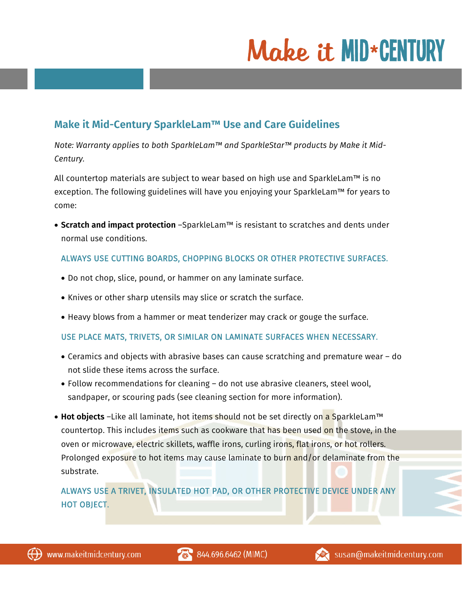# Make it MID\*CENTURY

# **Make it Mid-Century SparkleLam™ Use and Care Guidelines**

*Note: Warranty applies to both SparkleLam™ and SparkleStar™ products by Make it Mid-Century.* 

All countertop materials are subject to wear based on high use and SparkleLam™ is no exception. The following guidelines will have you enjoying your SparkleLam™ for years to come:

• **Scratch and impact protection** –SparkleLam™ is resistant to scratches and dents under normal use conditions.

### ALWAYS USE CUTTING BOARDS, CHOPPING BLOCKS OR OTHER PROTECTIVE SURFACES.

- Do not chop, slice, pound, or hammer on any laminate surface.
- Knives or other sharp utensils may slice or scratch the surface.
- Heavy blows from a hammer or meat tenderizer may crack or gouge the surface.

#### USE PLACE MATS, TRIVETS, OR SIMILAR ON LAMINATE SURFACES WHEN NECESSARY.

- Ceramics and objects with abrasive bases can cause scratching and premature wear do not slide these items across the surface.
- Follow recommendations for cleaning do not use abrasive cleaners, steel wool, sandpaper, or scouring pads (see cleaning section for more information).
- **Hot objects** –Like all laminate, hot items should not be set directly on a SparkleLam™ countertop. This includes items such as cookware that has been used on the stove, in the oven or microwave, electric skillets, waffle irons, curling irons, flat irons, or hot rollers. Prolonged exposure to hot items may cause laminate to burn and/or delaminate from the substrate.

ALWAYS USE A TRIVET, INSULATED HOT PAD, OR OTHER PROTECTIVE DEVICE UNDER ANY HOT OBJECT.

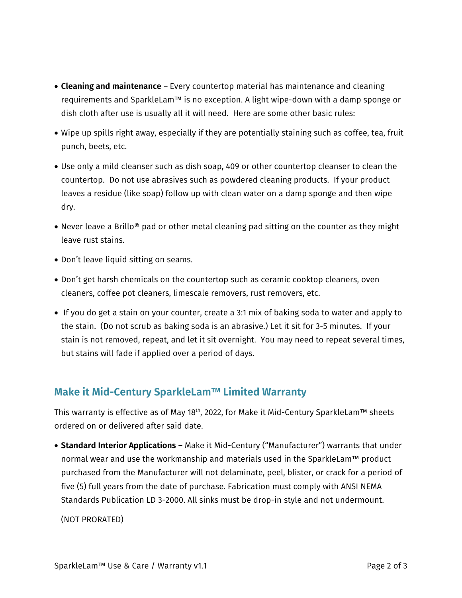- **Cleaning and maintenance** Every countertop material has maintenance and cleaning requirements and SparkleLam™ is no exception. A light wipe-down with a damp sponge or dish cloth after use is usually all it will need. Here are some other basic rules:
- Wipe up spills right away, especially if they are potentially staining such as coffee, tea, fruit punch, beets, etc.
- Use only a mild cleanser such as dish soap, 409 or other countertop cleanser to clean the countertop. Do not use abrasives such as powdered cleaning products. If your product leaves a residue (like soap) follow up with clean water on a damp sponge and then wipe dry.
- Never leave a Brillo® pad or other metal cleaning pad sitting on the counter as they might leave rust stains.
- Don't leave liquid sitting on seams.
- Don't get harsh chemicals on the countertop such as ceramic cooktop cleaners, oven cleaners, coffee pot cleaners, limescale removers, rust removers, etc.
- If you do get a stain on your counter, create a 3:1 mix of baking soda to water and apply to the stain. (Do not scrub as baking soda is an abrasive.) Let it sit for 3-5 minutes. If your stain is not removed, repeat, and let it sit overnight. You may need to repeat several times, but stains will fade if applied over a period of days.

## **Make it Mid-Century SparkleLam™ Limited Warranty**

This warranty is effective as of May 18<sup>th</sup>, 2022, for Make it Mid-Century SparkleLam™ sheets ordered on or delivered after said date.

• **Standard Interior Applications** – Make it Mid-Century ("Manufacturer") warrants that under normal wear and use the workmanship and materials used in the SparkleLam™ product purchased from the Manufacturer will not delaminate, peel, blister, or crack for a period of five (5) full years from the date of purchase. Fabrication must comply with ANSI NEMA Standards Publication LD 3-2000. All sinks must be drop-in style and not undermount.

(NOT PRORATED)